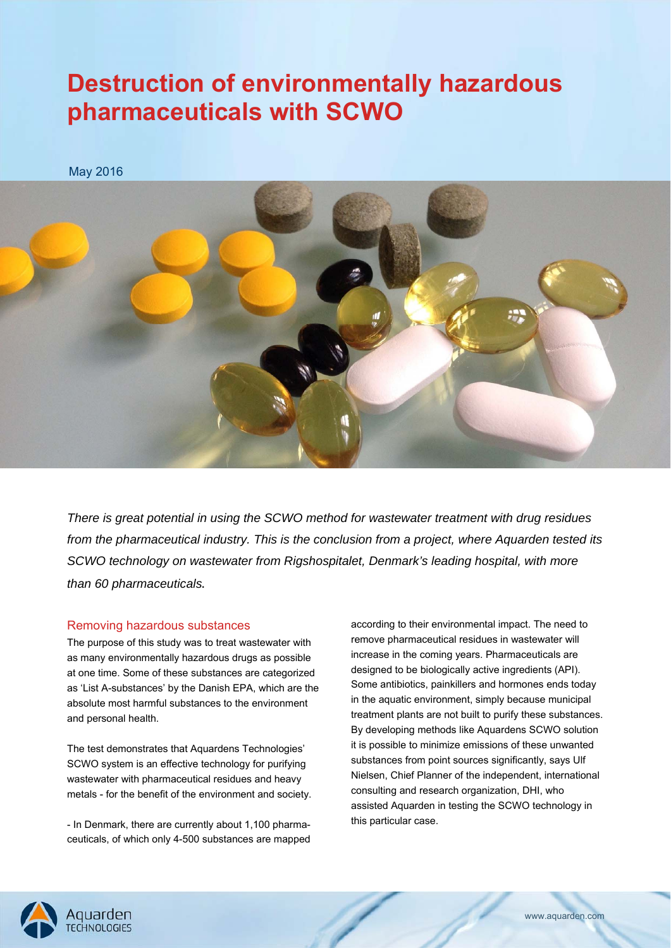# **Destruction of environmentally hazardous pharmaceuticals with SCWO**

May 2016



*There is great potential in using the SCWO method for wastewater treatment with drug residues from the pharmaceutical industry. This is the conclusion from a project, where Aquarden tested its SCWO technology on wastewater from Rigshospitalet, Denmark's leading hospital, with more than 60 pharmaceuticals*.

#### Removing hazardous substances

The purpose of this study was to treat wastewater with as many environmentally hazardous drugs as possible at one time. Some of these substances are categorized as 'List A-substances' by the Danish EPA, which are the absolute most harmful substances to the environment and personal health.

The test demonstrates that Aquardens Technologies' SCWO system is an effective technology for purifying wastewater with pharmaceutical residues and heavy metals - for the benefit of the environment and society.

- In Denmark, there are currently about 1,100 pharmaceuticals, of which only 4-500 substances are mapped according to their environmental impact. The need to remove pharmaceutical residues in wastewater will increase in the coming years. Pharmaceuticals are designed to be biologically active ingredients (API). Some antibiotics, painkillers and hormones ends today in the aquatic environment, simply because municipal treatment plants are not built to purify these substances. By developing methods like Aquardens SCWO solution it is possible to minimize emissions of these unwanted substances from point sources significantly, says Ulf Nielsen, Chief Planner of the independent, international consulting and research organization, DHI, who assisted Aquarden in testing the SCWO technology in this particular case.

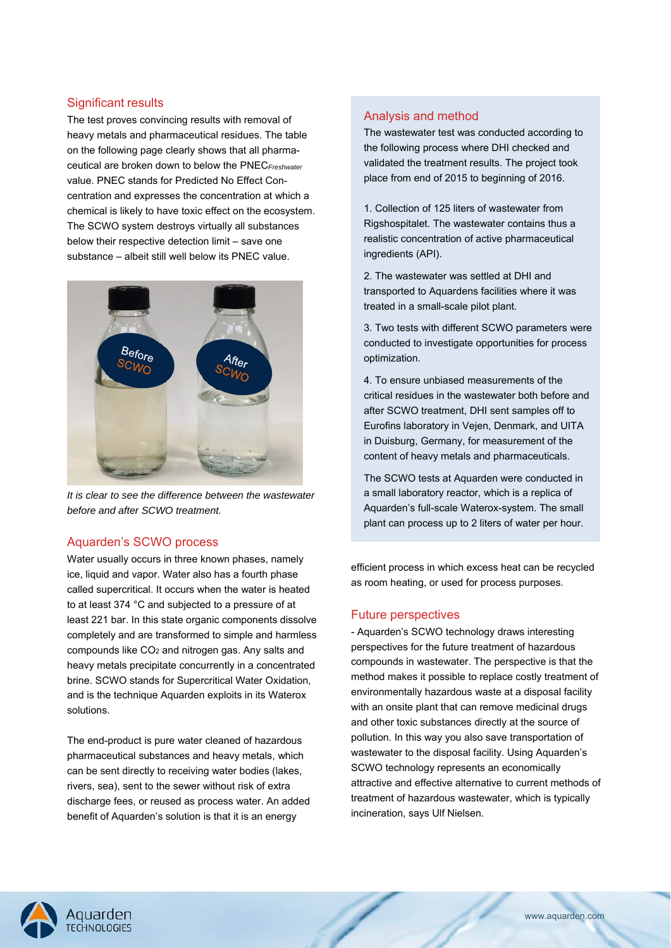## Significant results

The test proves convincing results with removal of heavy metals and pharmaceutical residues. The table on the following page clearly shows that all pharmaceutical are broken down to below the PNEC*Freshwater* value. PNEC stands for Predicted No Effect Concentration and expresses the concentration at which a chemical is likely to have toxic effect on the ecosystem. The SCWO system destroys virtually all substances below their respective detection limit – save one substance – albeit still well below its PNEC value.



*It is clear to see the difference between the wastewater before and after SCWO treatment.* 

## Aquarden's SCWO process

Water usually occurs in three known phases, namely ice, liquid and vapor. Water also has a fourth phase called supercritical. It occurs when the water is heated to at least 374 °C and subjected to a pressure of at least 221 bar. In this state organic components dissolve completely and are transformed to simple and harmless compounds like  $CO<sub>2</sub>$  and nitrogen gas. Any salts and heavy metals precipitate concurrently in a concentrated brine. SCWO stands for Supercritical Water Oxidation, and is the technique Aquarden exploits in its Waterox solutions.

The end-product is pure water cleaned of hazardous pharmaceutical substances and heavy metals, which can be sent directly to receiving water bodies (lakes, rivers, sea), sent to the sewer without risk of extra discharge fees, or reused as process water. An added benefit of Aquarden's solution is that it is an energy

# Analysis and method

The wastewater test was conducted according to the following process where DHI checked and validated the treatment results. The project took place from end of 2015 to beginning of 2016.

1. Collection of 125 liters of wastewater from Rigshospitalet. The wastewater contains thus a realistic concentration of active pharmaceutical ingredients (API).

2. The wastewater was settled at DHI and transported to Aquardens facilities where it was treated in a small-scale pilot plant.

3. Two tests with different SCWO parameters were conducted to investigate opportunities for process optimization.

4. To ensure unbiased measurements of the critical residues in the wastewater both before and after SCWO treatment, DHI sent samples off to Eurofins laboratory in Vejen, Denmark, and UITA in Duisburg, Germany, for measurement of the content of heavy metals and pharmaceuticals.

The SCWO tests at Aquarden were conducted in a small laboratory reactor, which is a replica of Aquarden's full-scale Waterox-system. The small plant can process up to 2 liters of water per hour.

efficient process in which excess heat can be recycled as room heating, or used for process purposes.

## Future perspectives

- Aquarden's SCWO technology draws interesting perspectives for the future treatment of hazardous compounds in wastewater. The perspective is that the method makes it possible to replace costly treatment of environmentally hazardous waste at a disposal facility with an onsite plant that can remove medicinal drugs and other toxic substances directly at the source of pollution. In this way you also save transportation of wastewater to the disposal facility. Using Aquarden's SCWO technology represents an economically attractive and effective alternative to current methods of treatment of hazardous wastewater, which is typically incineration, says Ulf Nielsen.

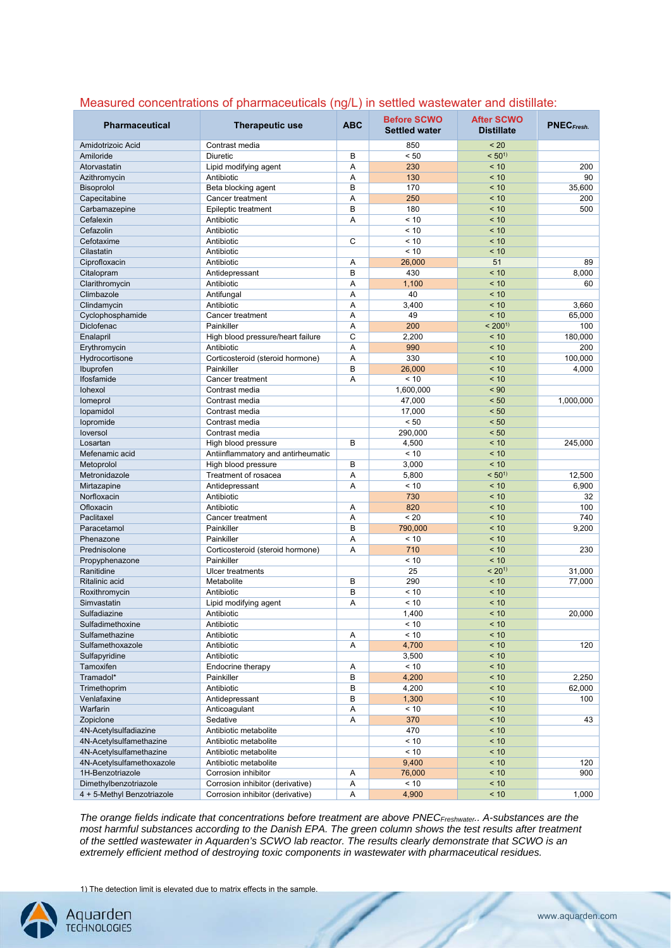| <b>Pharmaceutical</b>      | <b>Therapeutic use</b>             | <b>ABC</b> | <b>Before SCWO</b><br><b>Settled water</b> | <b>After SCWO</b><br><b>Distillate</b> | PNEC <sub>Fresh</sub> . |
|----------------------------|------------------------------------|------------|--------------------------------------------|----------------------------------------|-------------------------|
| Amidotrizoic Acid          | Contrast media                     |            | 850                                        | < 20                                   |                         |
| Amiloride                  | <b>Diuretic</b>                    | B          | < 50                                       | $< 50^{1}$                             |                         |
| Atorvastatin               | Lipid modifying agent              | Α          | 230                                        | < 10                                   | 200                     |
| Azithromycin               | Antibiotic                         | Α          | 130                                        | < 10                                   | 90                      |
| Bisoprolol                 | Beta blocking agent                | B          | 170                                        | < 10                                   | 35,600                  |
| Capecitabine               | Cancer treatment                   | A          | 250                                        | < 10                                   | 200                     |
| Carbamazepine              | Epileptic treatment                | B          | 180                                        | < 10                                   | 500                     |
| Cefalexin                  | Antibiotic                         | Α          | < 10                                       | < 10                                   |                         |
| Cefazolin                  | Antibiotic                         |            | < 10                                       | < 10                                   |                         |
| Cefotaxime                 | Antibiotic                         | C          | < 10                                       | < 10                                   |                         |
| Cilastatin                 | Antibiotic                         |            | < 10                                       | < 10                                   |                         |
| Ciprofloxacin              | Antibiotic                         | Α          | 26,000                                     | 51                                     | 89                      |
| Citalopram                 | Antidepressant                     | B          | 430                                        | < 10                                   | 8,000                   |
| Clarithromycin             | Antibiotic                         | A          | 1,100                                      | < 10                                   | 60                      |
| Climbazole                 | Antifungal                         | Α          | 40                                         | < 10                                   |                         |
| Clindamycin                | Antibiotic                         | A          | 3,400                                      | < 10                                   | 3,660                   |
| Cyclophosphamide           | Cancer treatment                   | Α          | 49                                         | < 10                                   | 65,000                  |
| <b>Diclofenac</b>          | Painkiller                         | Α          | 200                                        | $< 200^{11}$                           | 100                     |
| Enalapril                  | High blood pressure/heart failure  | C          | 2,200                                      | < 10                                   | 180,000                 |
| Erythromycin               | Antibiotic                         | Α          | 990                                        | < 10                                   | 200                     |
| Hydrocortisone             | Corticosteroid (steroid hormone)   | A          | 330                                        | < 10                                   | 100,000                 |
| Ibuprofen                  | Painkiller                         | B          | 26,000                                     | < 10                                   | 4,000                   |
| Ifosfamide                 | Cancer treatment                   | Α          | < 10                                       | < 10                                   |                         |
| lohexol                    | Contrast media                     |            | 1,600,000                                  | $~<$ 90                                |                         |
| lomeprol                   | Contrast media                     |            | 47,000                                     | < 50                                   | 1,000,000               |
| lopamidol                  | Contrast media                     |            | 17,000                                     | < 50                                   |                         |
| lopromide                  | Contrast media                     |            | < 50                                       | < 50                                   |                         |
| loversol                   | Contrast media                     |            | 290,000                                    | < 50                                   |                         |
| Losartan                   | High blood pressure                | B          | 4,500                                      | < 10                                   | 245,000                 |
| Mefenamic acid             | Antiinflammatory and antirheumatic |            | < 10                                       | < 10                                   |                         |
| Metoprolol                 | High blood pressure                | B          | 3,000                                      | < 10                                   |                         |
| Metronidazole              | Treatment of rosacea               | A          | 5,800                                      | $< 50^{1}$                             | 12,500                  |
| Mirtazapine                | Antidepressant                     | A          | < 10                                       | < 10                                   | 6,900                   |
| Norfloxacin                | Antibiotic                         |            | 730                                        | < 10                                   | 32                      |
| Ofloxacin                  | Antibiotic                         | Α          | 820                                        | < 10                                   | 100                     |
| Paclitaxel                 | Cancer treatment                   | A          | < 20                                       | < 10                                   | 740                     |
| Paracetamol                | Painkiller                         | B          | 790,000                                    | < 10                                   | 9,200                   |
| Phenazone                  | Painkiller                         | A          | < 10                                       | < 10                                   |                         |
| Prednisolone               | Corticosteroid (steroid hormone)   | A          | 710                                        | < 10                                   | 230                     |
| Propyphenazone             | Painkiller                         |            | < 10                                       | < 10                                   |                         |
| Ranitidine                 | <b>Ulcer treatments</b>            |            | 25                                         | $< 20^{11}$                            | 31,000                  |
| <b>Ritalinic acid</b>      | Metabolite                         | B          | 290                                        | < 10                                   | 77,000                  |
| Roxithromycin              | Antibiotic                         | B          | < 10                                       | < 10                                   |                         |
| Simvastatin                | Lipid modifying agent              | A          | < 10                                       | < 10                                   |                         |
| Sulfadiazine               | Antibiotic                         |            | 1,400                                      | < 10                                   | 20,000                  |
| Sulfadimethoxine           | Antibiotic                         |            | < 10                                       | < 10                                   |                         |
| Sulfamethazine             | Antibiotic                         | Α          | < 10                                       | < 10                                   |                         |
| Sulfamethoxazole           | Antibiotic                         | Α          | 4,700                                      | < 10                                   | 120                     |
| Sulfapyridine              | Antibiotic                         |            | 3,500                                      | < 10                                   |                         |
| Tamoxifen                  | Endocrine therapy                  | Α          | < 10                                       | < 10                                   |                         |
| Tramadol*                  | Painkiller                         | В          | 4,200                                      | < 10                                   | 2,250                   |
| Trimethoprim               | Antibiotic                         | B          | 4,200                                      | < 10                                   | 62,000                  |
| Venlafaxine                | Antidepressant                     | В          | 1,300                                      | < 10                                   | 100                     |
| Warfarin                   | Anticoagulant                      | Α          | < 10                                       | < 10                                   |                         |
| Zopiclone                  | Sedative                           | Α          | 370                                        | < 10                                   | 43                      |
| 4N-Acetylsulfadiazine      | Antibiotic metabolite              |            | 470                                        | < 10                                   |                         |
| 4N-Acetylsulfamethazine    | Antibiotic metabolite              |            | < 10                                       | < 10                                   |                         |
| 4N-Acetylsulfamethazine    | Antibiotic metabolite              |            | < 10                                       | < 10                                   |                         |
| 4N-Acetylsulfamethoxazole  | Antibiotic metabolite              |            | 9,400                                      | < 10                                   | 120                     |
| 1H-Benzotriazole           | Corrosion inhibitor                | Α          | 76,000                                     | < 10                                   | 900                     |
| Dimethylbenzotriazole      | Corrosion inhibitor (derivative)   | Α          | $<10$                                      | < 10                                   |                         |
| 4 + 5-Methyl Benzotriazole | Corrosion inhibitor (derivative)   | Α          | 4,900                                      | < 10                                   | 1,000                   |

# Measured concentrations of pharmaceuticals (ng/L) in settled wastewater and distillate:

*The orange fields indicate that concentrations before treatment are above PNECFreshwater.. A-substances are the most harmful substances according to the Danish EPA. The green column shows the test results after treatment of the settled wastewater in Aquarden's SCWO lab reactor. The results clearly demonstrate that SCWO is an extremely efficient method of destroying toxic components in wastewater with pharmaceutical residues.* 

1) The detection limit is elevated due to matrix effects in the sample.